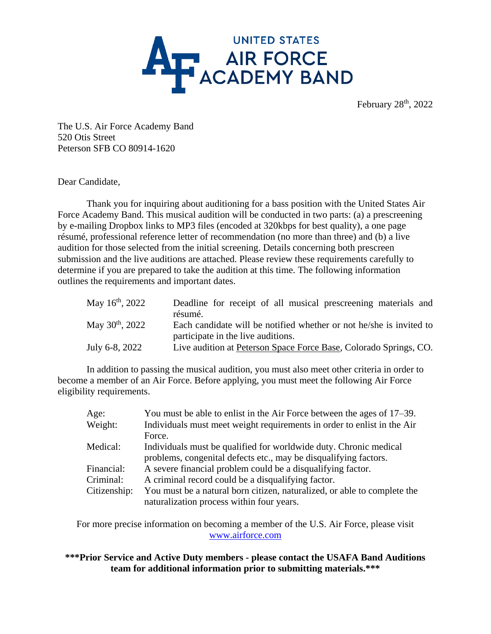

The U.S. Air Force Academy Band 520 Otis Street Peterson SFB CO 80914-1620

Dear Candidate,

Thank you for inquiring about auditioning for a bass position with the United States Air Force Academy Band. This musical audition will be conducted in two parts: (a) a prescreening by e-mailing Dropbox links to MP3 files (encoded at 320kbps for best quality), a one page résumé, professional reference letter of recommendation (no more than three) and (b) a live audition for those selected from the initial screening. Details concerning both prescreen submission and the live auditions are attached. Please review these requirements carefully to determine if you are prepared to take the audition at this time. The following information outlines the requirements and important dates.

| May $16^{\text{th}}$ , 2022 | Deadline for receipt of all musical prescreening materials and<br>résumé.                               |
|-----------------------------|---------------------------------------------------------------------------------------------------------|
| May $30^{th}$ , $2022$      | Each candidate will be notified whether or not he/she is invited to                                     |
| July 6-8, 2022              | participate in the live auditions.<br>Live audition at Peterson Space Force Base, Colorado Springs, CO. |

In addition to passing the musical audition, you must also meet other criteria in order to become a member of an Air Force. Before applying, you must meet the following Air Force eligibility requirements.

| Age:<br>Weight: | You must be able to enlist in the Air Force between the ages of 17–39.<br>Individuals must meet weight requirements in order to enlist in the Air |
|-----------------|---------------------------------------------------------------------------------------------------------------------------------------------------|
|                 | Force.                                                                                                                                            |
| Medical:        | Individuals must be qualified for worldwide duty. Chronic medical<br>problems, congenital defects etc., may be disqualifying factors.             |
| Financial:      | A severe financial problem could be a disqualifying factor.                                                                                       |
| Criminal:       | A criminal record could be a disqualifying factor.                                                                                                |
| Citizenship:    | You must be a natural born citizen, naturalized, or able to complete the                                                                          |
|                 | naturalization process within four years.                                                                                                         |

For more precise information on becoming a member of the U.S. Air Force, please visit [www.airforce.com](http://www.airforce.com/)

#### **\*\*\*Prior Service and Active Duty members - please contact the USAFA Band Auditions team for additional information prior to submitting materials.\*\*\***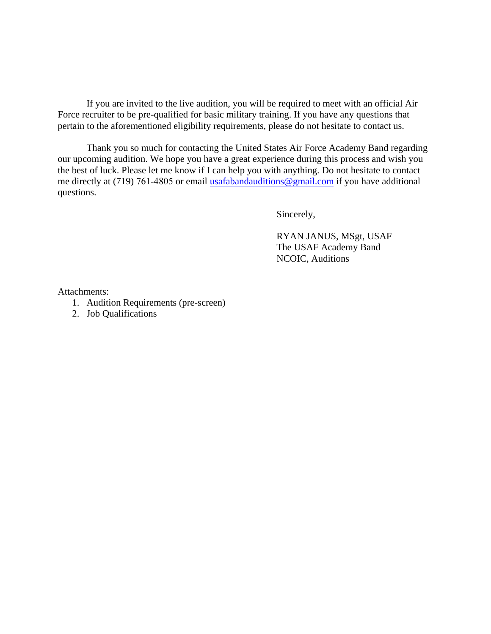If you are invited to the live audition, you will be required to meet with an official Air Force recruiter to be pre-qualified for basic military training. If you have any questions that pertain to the aforementioned eligibility requirements, please do not hesitate to contact us.

Thank you so much for contacting the United States Air Force Academy Band regarding our upcoming audition. We hope you have a great experience during this process and wish you the best of luck. Please let me know if I can help you with anything. Do not hesitate to contact me directly at (719) 761-4805 or email [usafabandauditions@gmail.com](mailto:usafabandauditions@gmail.com) if you have additional questions.

Sincerely,

 RYAN JANUS, MSgt, USAF The USAF Academy Band NCOIC, Auditions

Attachments:

- 1. Audition Requirements (pre-screen)
- 2. Job Qualifications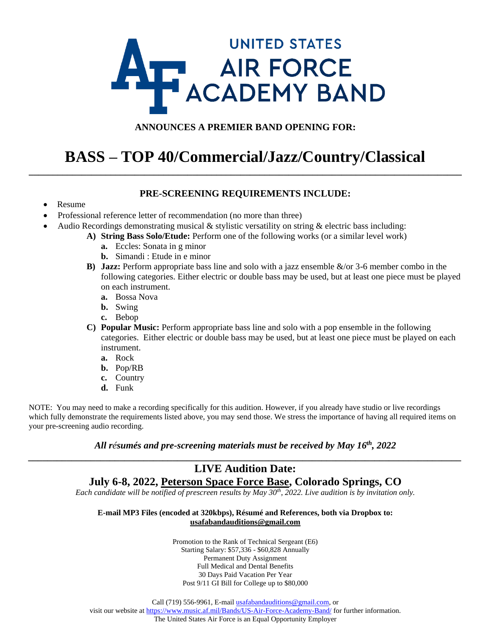# **UNITED STATES AT AIR FORCE**

#### **ANNOUNCES A PREMIER BAND OPENING FOR:**

### **BASS – TOP 40/Commercial/Jazz/Country/Classical \_\_\_\_\_\_\_\_\_\_\_\_\_\_\_\_\_\_\_\_\_\_\_\_\_\_\_\_\_\_\_\_\_\_\_\_\_\_\_\_\_\_\_\_\_\_\_\_\_\_\_\_\_\_\_\_\_\_\_\_\_\_\_\_\_\_\_\_\_\_\_\_\_\_\_\_\_\_\_\_\_\_\_\_\_\_\_\_\_\_**

#### **PRE-SCREENING REQUIREMENTS INCLUDE:**

- Resume
- Professional reference letter of recommendation (no more than three)
- Audio Recordings demonstrating musical  $\&$  stylistic versatility on string  $\&$  electric bass including:
	- **A) String Bass Solo/Etude:** Perform one of the following works (or a similar level work)
		- **a.** Eccles: Sonata in g minor
		- **b.** Simandi : Etude in e minor
	- **B) Jazz:** Perform appropriate bass line and solo with a jazz ensemble &/or 3-6 member combo in the following categories. Either electric or double bass may be used, but at least one piece must be played on each instrument.
		- **a.** Bossa Nova
		- **b.** Swing
		- **c.** Bebop
	- **C) Popular Music:** Perform appropriate bass line and solo with a pop ensemble in the following categories. Either electric or double bass may be used, but at least one piece must be played on each instrument.
		- **a.** Rock
		- **b.** Pop/RB
		- **c.** Country
		- **d.** Funk

NOTE: You may need to make a recording specifically for this audition. However, if you already have studio or live recordings which fully demonstrate the requirements listed above, you may send those. We stress the importance of having all required items on your pre-screening audio recording.

#### *All résumés and pre-screening materials must be received by May 16th, 2022 \_\_\_\_\_\_\_\_\_\_\_\_\_\_\_\_\_\_\_\_\_\_\_\_\_\_\_\_\_\_\_\_\_\_\_\_\_\_\_\_\_\_\_\_\_\_\_\_\_\_\_\_\_\_\_\_\_\_\_\_\_\_\_\_\_\_\_\_\_\_\_\_\_\_\_\_\_\_\_\_\_\_\_\_\_\_\_\_\_\_*

#### **LIVE Audition Date: July 6-8, 2022, Peterson Space Force Base, Colorado Springs, CO**

*Each candidate will be notified of prescreen results by May 30th, 2022. Live audition is by invitation only.*

#### **E-mail MP3 Files (encoded at 320kbps), Résumé and References, both via Dropbox to: usafabandauditions@gmail.com**

Promotion to the Rank of Technical Sergeant (E6) Starting Salary: \$57,336 - \$60,828 Annually Permanent Duty Assignment Full Medical and Dental Benefits 30 Days Paid Vacation Per Year Post 9/11 GI Bill for College up to \$80,000

Call (719) 556-9961, E-mai[l usafabandauditions@gmail.com,](mailto:usafabandauditions@gmail.com) or visit our website a[t https://www.music.af.mil/Bands/US-Air-Force-Academy-Band/](https://www.music.af.mil/Bands/US-Air-Force-Academy-Band/) for further information. The United States Air Force is an Equal Opportunity Employer